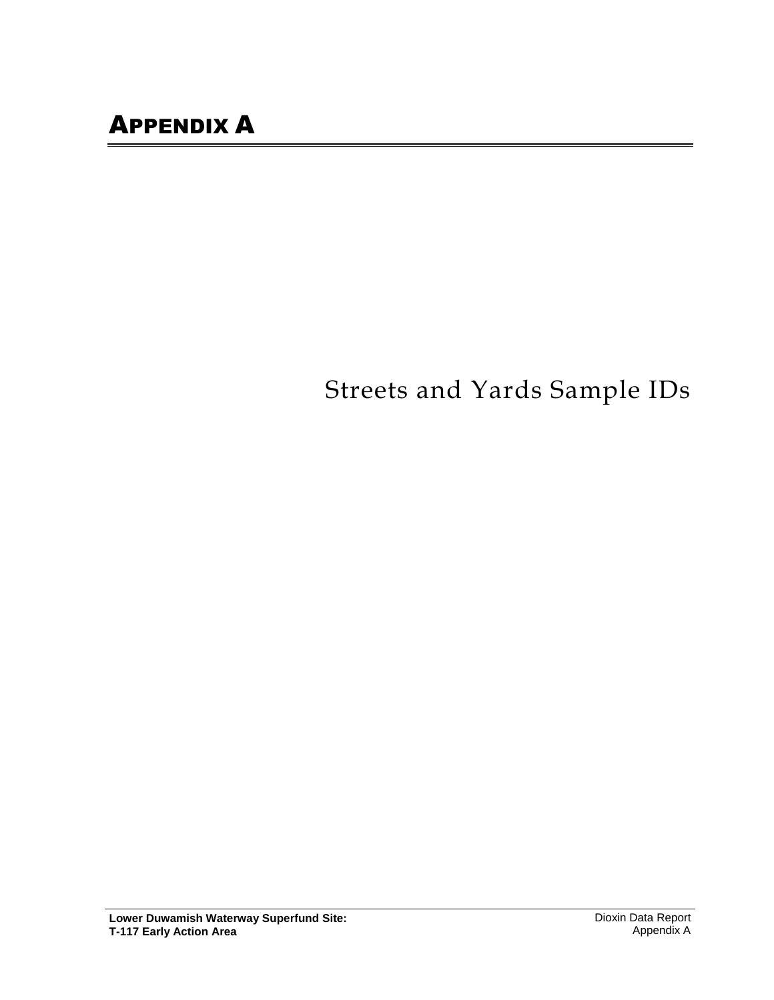# Streets and Yards Sample IDs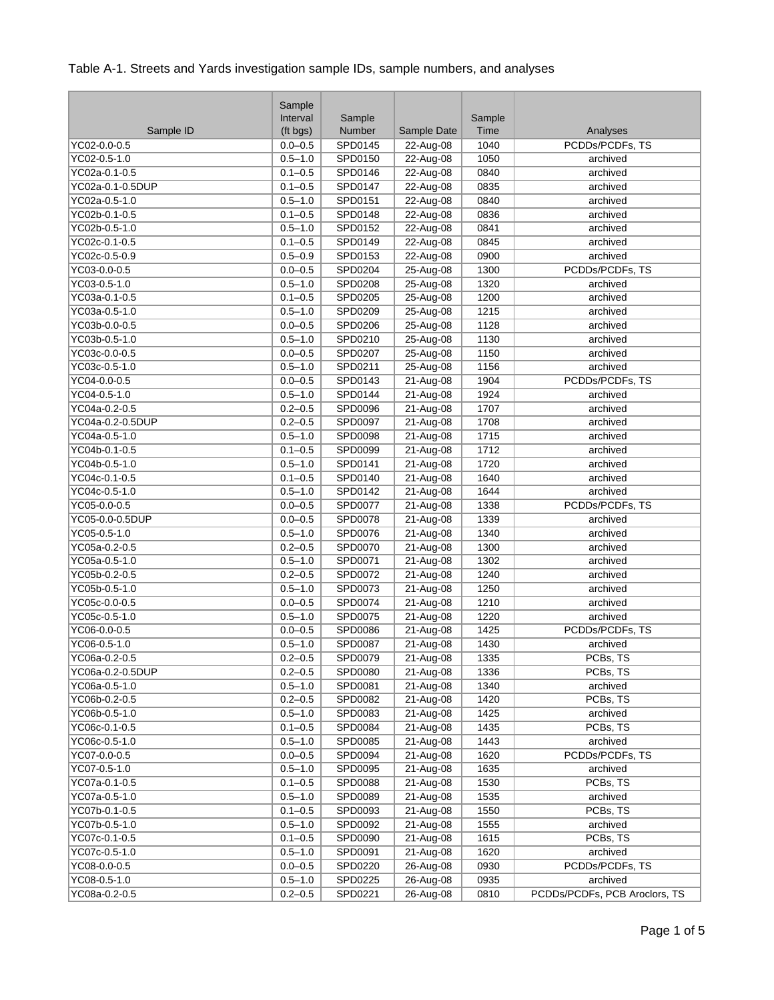|                  | Sample<br>Interval | Sample         |             | Sample |                               |
|------------------|--------------------|----------------|-------------|--------|-------------------------------|
| Sample ID        | (ft bgs)           | Number         | Sample Date | Time   | Analyses                      |
| YC02-0.0-0.5     | $0.0 - 0.5$        | SPD0145        | 22-Aug-08   | 1040   | PCDDs/PCDFs, TS               |
| YC02-0.5-1.0     | $0.5 - 1.0$        | SPD0150        | $22-Aug-08$ | 1050   | archived                      |
| YC02a-0.1-0.5    | $0.1 - 0.5$        | SPD0146        | 22-Aug-08   | 0840   | archived                      |
| YC02a-0.1-0.5DUP | $0.1 - 0.5$        | SPD0147        | 22-Aug-08   | 0835   | archived                      |
| YC02a-0.5-1.0    | $0.5 - 1.0$        | SPD0151        | 22-Aug-08   | 0840   | archived                      |
| YC02b-0.1-0.5    | $0.1 - 0.5$        | SPD0148        | 22-Aug-08   | 0836   | archived                      |
| YC02b-0.5-1.0    | $0.5 - 1.0$        | SPD0152        | 22-Aug-08   | 0841   | archived                      |
| YC02c-0.1-0.5    | $0.1 - 0.5$        | SPD0149        | 22-Aug-08   | 0845   | archived                      |
| YC02c-0.5-0.9    | $0.5 - 0.9$        | SPD0153        | 22-Aug-08   | 0900   | archived                      |
| YC03-0.0-0.5     | $0.0 - 0.5$        | SPD0204        | 25-Aug-08   | 1300   | PCDDs/PCDFs, TS               |
| YC03-0.5-1.0     | $0.5 - 1.0$        | SPD0208        | 25-Aug-08   | 1320   | archived                      |
| YC03a-0.1-0.5    | $0.1 - 0.5$        | SPD0205        | 25-Aug-08   | 1200   | archived                      |
| YC03a-0.5-1.0    | $0.5 - 1.0$        | SPD0209        | 25-Aug-08   | 1215   | archived                      |
| YC03b-0.0-0.5    | $0.0 - 0.5$        | SPD0206        | 25-Aug-08   | 1128   | archived                      |
| YC03b-0.5-1.0    | $0.5 - 1.0$        | SPD0210        | 25-Aug-08   | 1130   | archived                      |
| YC03c-0.0-0.5    | $0.0 - 0.5$        | SPD0207        | 25-Aug-08   | 1150   | archived                      |
|                  | $0.5 - 1.0$        |                |             |        |                               |
| YC03c-0.5-1.0    |                    | SPD0211        | 25-Aug-08   | 1156   | archived                      |
| YC04-0.0-0.5     | $0.0 - 0.5$        | SPD0143        | $21-Aug-08$ | 1904   | PCDDs/PCDFs, TS               |
| YC04-0.5-1.0     | $0.5 - 1.0$        | SPD0144        | 21-Aug-08   | 1924   | archived                      |
| YC04a-0.2-0.5    | $0.2 - 0.5$        | SPD0096        | $21-Aug-08$ | 1707   | archived                      |
| YC04a-0.2-0.5DUP | $0.2 - 0.5$        | SPD0097        | 21-Aug-08   | 1708   | archived                      |
| YC04a-0.5-1.0    | $0.5 - 1.0$        | SPD0098        | 21-Aug-08   | 1715   | archived                      |
| YC04b-0.1-0.5    | $0.1 - 0.5$        | SPD0099        | 21-Aug-08   | 1712   | archived                      |
| YC04b-0.5-1.0    | $0.5 - 1.0$        | SPD0141        | $21-Aug-08$ | 1720   | archived                      |
| YC04c-0.1-0.5    | $0.1 - 0.5$        | SPD0140        | 21-Aug-08   | 1640   | archived                      |
| YC04c-0.5-1.0    | $0.5 - 1.0$        | SPD0142        | 21-Aug-08   | 1644   | archived                      |
| YC05-0.0-0.5     | $0.0 - 0.5$        | SPD0077        | 21-Aug-08   | 1338   | PCDDs/PCDFs, TS               |
| YC05-0.0-0.5DUP  | $0.0 - 0.5$        | SPD0078        | $21-Aug-08$ | 1339   | archived                      |
| YC05-0.5-1.0     | $0.5 - 1.0$        | SPD0076        | 21-Aug-08   | 1340   | archived                      |
| YC05a-0.2-0.5    | $0.2 - 0.5$        | SPD0070        | 21-Aug-08   | 1300   | archived                      |
| YC05a-0.5-1.0    | $0.5 - 1.0$        | SPD0071        | 21-Aug-08   | 1302   | archived                      |
| YC05b-0.2-0.5    | $0.2 - 0.5$        | SPD0072        | 21-Aug-08   | 1240   | archived                      |
| YC05b-0.5-1.0    | $0.5 - 1.0$        | SPD0073        | 21-Aug-08   | 1250   | archived                      |
| YC05c-0.0-0.5    | $0.0 - 0.5$        | SPD0074        | 21-Aug-08   | 1210   | archived                      |
| YC05c-0.5-1.0    | $0.5 - 1.0$        | SPD0075        | 21-Aug-08   | 1220   | archived                      |
| YC06-0.0-0.5     | $0.0 - 0.5$        | SPD0086        | 21-Aug-08   | 1425   | PCDDs/PCDFs, TS               |
| YC06-0.5-1.0     | $0.5 - 1.0$        | <b>SPD0087</b> | 21-Aug-08   | 1430   | archived                      |
| YC06a-0.2-0.5    | $0.2 - 0.5$        | SPD0079        | $21-Aug-08$ | 1335   | PCBs, TS                      |
| YC06a-0.2-0.5DUP | $0.2 - 0.5$        | SPD0080        | 21-Aug-08   | 1336   | PCBs, TS                      |
| YC06a-0.5-1.0    | $0.5 - 1.0$        | SPD0081        | 21-Aug-08   | 1340   | archived                      |
| YC06b-0.2-0.5    | $0.2 - 0.5$        | SPD0082        | 21-Aug-08   | 1420   | PCBs, TS                      |
| YC06b-0.5-1.0    | $0.5 - 1.0$        | SPD0083        | 21-Aug-08   | 1425   | archived                      |
| YC06c-0.1-0.5    | $0.1 - 0.5$        | SPD0084        | $21-Aug-08$ | 1435   | PCBs, TS                      |
| YC06c-0.5-1.0    | $0.5 - 1.0$        | SPD0085        | 21-Aug-08   | 1443   | archived                      |
| YC07-0.0-0.5     | $0.0 - 0.5$        | SPD0094        | 21-Aug-08   | 1620   | PCDDs/PCDFs, TS               |
| YC07-0.5-1.0     | $0.5 - 1.0$        | SPD0095        | $21-Aug-08$ | 1635   | archived                      |
| YC07a-0.1-0.5    | $0.1 - 0.5$        | SPD0088        | 21-Aug-08   | 1530   | PCBs, TS                      |
| YC07a-0.5-1.0    | $0.5 - 1.0$        | SPD0089        | 21-Aug-08   | 1535   | archived                      |
| YC07b-0.1-0.5    | $0.1 - 0.5$        | SPD0093        | 21-Aug-08   | 1550   | PCBs, TS                      |
| YC07b-0.5-1.0    | $0.5 - 1.0$        | SPD0092        | 21-Aug-08   | 1555   | archived                      |
| YC07c-0.1-0.5    | $0.1 - 0.5$        | SPD0090        | 21-Aug-08   | 1615   | PCBs, TS                      |
| YC07c-0.5-1.0    | $0.5 - 1.0$        | SPD0091        | 21-Aug-08   | 1620   | archived                      |
| YC08-0.0-0.5     | $0.0 - 0.5$        | SPD0220        | 26-Aug-08   | 0930   | PCDDs/PCDFs, TS               |
| YC08-0.5-1.0     | $0.5 - 1.0$        | SPD0225        | 26-Aug-08   | 0935   | archived                      |
| YC08a-0.2-0.5    | $0.2 - 0.5$        | SPD0221        | 26-Aug-08   | 0810   | PCDDs/PCDFs, PCB Aroclors, TS |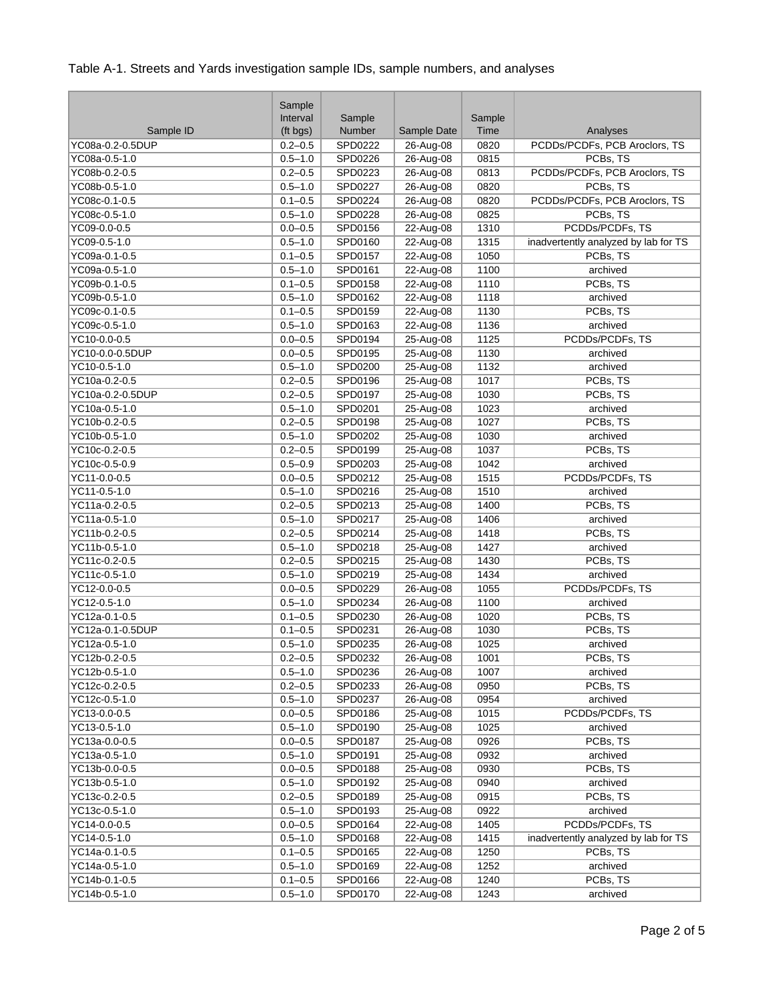|                  | Sample      |         |             |                   |                                      |
|------------------|-------------|---------|-------------|-------------------|--------------------------------------|
|                  | Interval    | Sample  |             | Sample            |                                      |
| Sample ID        | (ft bgs)    | Number  | Sample Date | Time              | Analyses                             |
| YC08a-0.2-0.5DUP | $0.2 - 0.5$ | SPD0222 | 26-Aug-08   | 0820              | PCDDs/PCDFs, PCB Aroclors, TS        |
| YC08a-0.5-1.0    | $0.5 - 1.0$ | SPD0226 | 26-Aug-08   | 0815              | PCBs, TS                             |
| YC08b-0.2-0.5    | $0.2 - 0.5$ | SPD0223 | 26-Aug-08   | 0813              | PCDDs/PCDFs, PCB Aroclors, TS        |
| YC08b-0.5-1.0    | $0.5 - 1.0$ | SPD0227 | 26-Aug-08   | 0820              | PCBs, TS                             |
| YC08c-0.1-0.5    | $0.1 - 0.5$ | SPD0224 | 26-Aug-08   | 0820              | PCDDs/PCDFs, PCB Aroclors, TS        |
| YC08c-0.5-1.0    | $0.5 - 1.0$ | SPD0228 | 26-Aug-08   | 0825              | PCBs, TS                             |
| YC09-0.0-0.5     | $0.0 - 0.5$ | SPD0156 | 22-Aug-08   | 1310              | PCDDs/PCDFs, TS                      |
| YC09-0.5-1.0     | $0.5 - 1.0$ | SPD0160 | 22-Aug-08   | 1315              | inadvertently analyzed by lab for TS |
| YC09a-0.1-0.5    | $0.1 - 0.5$ | SPD0157 | 22-Aug-08   | 1050              | PCBs, TS                             |
| YC09a-0.5-1.0    | $0.5 - 1.0$ | SPD0161 | 22-Aug-08   | 1100              | archived                             |
| YC09b-0.1-0.5    | $0.1 - 0.5$ | SPD0158 | 22-Aug-08   | 1110              | PCBs, TS                             |
| YC09b-0.5-1.0    | $0.5 - 1.0$ | SPD0162 | 22-Aug-08   | 1118              | archived                             |
| YC09c-0.1-0.5    | $0.1 - 0.5$ | SPD0159 | 22-Aug-08   | 1130              | PCBs, TS                             |
| YC09c-0.5-1.0    | $0.5 - 1.0$ | SPD0163 | 22-Aug-08   | 1136              | archived                             |
| YC10-0.0-0.5     | $0.0 - 0.5$ | SPD0194 | 25-Aug-08   | 1125              | PCDDs/PCDFs, TS                      |
| YC10-0.0-0.5DUP  | $0.0 - 0.5$ | SPD0195 | 25-Aug-08   | 1130              | archived                             |
| YC10-0.5-1.0     | $0.5 - 1.0$ | SPD0200 | 25-Aug-08   | 1132              | archived                             |
| YC10a-0.2-0.5    | $0.2 - 0.5$ | SPD0196 | 25-Aug-08   | 1017              | PCBs, TS                             |
| YC10a-0.2-0.5DUP | $0.2 - 0.5$ | SPD0197 | 25-Aug-08   | 1030              | PCBs, TS                             |
| YC10a-0.5-1.0    | $0.5 - 1.0$ | SPD0201 | 25-Aug-08   | 1023              | archived                             |
| YC10b-0.2-0.5    | $0.2 - 0.5$ | SPD0198 | 25-Aug-08   | 1027              | PCBs, TS                             |
| YC10b-0.5-1.0    | $0.5 - 1.0$ | SPD0202 | 25-Aug-08   | 1030              | archived                             |
| YC10c-0.2-0.5    | $0.2 - 0.5$ | SPD0199 | 25-Aug-08   | 1037              | PCBs, TS                             |
| YC10c-0.5-0.9    | $0.5 - 0.9$ | SPD0203 | 25-Aug-08   | 1042              | archived                             |
| YC11-0.0-0.5     | $0.0 - 0.5$ | SPD0212 | 25-Aug-08   | 1515              | PCDDs/PCDFs, TS                      |
| YC11-0.5-1.0     | $0.5 - 1.0$ | SPD0216 | 25-Aug-08   | 1510              | archived                             |
| YC11a-0.2-0.5    | $0.2 - 0.5$ | SPD0213 | 25-Aug-08   | 1400              | PCBs, TS                             |
| YC11a-0.5-1.0    | $0.5 - 1.0$ | SPD0217 | $25-Aug-08$ | 1406              | archived                             |
| YC11b-0.2-0.5    | $0.2 - 0.5$ | SPD0214 | 25-Aug-08   | 1418              | PCBs, TS                             |
| YC11b-0.5-1.0    | $0.5 - 1.0$ | SPD0218 | 25-Aug-08   | 1427              | archived                             |
| YC11c-0.2-0.5    | $0.2 - 0.5$ | SPD0215 | 25-Aug-08   | 1430              | PCBs, TS                             |
| YC11c-0.5-1.0    | $0.5 - 1.0$ | SPD0219 | 25-Aug-08   | 1434              | archived                             |
| YC12-0.0-0.5     | $0.0 - 0.5$ | SPD0229 | 26-Aug-08   | 1055              | PCDDs/PCDFs, TS                      |
| YC12-0.5-1.0     | $0.5 - 1.0$ | SPD0234 | 26-Aug-08   | 1100              | archived                             |
| YC12a-0.1-0.5    | $0.1 - 0.5$ | SPD0230 | 26-Aug-08   | 1020              | PCBs, TS                             |
| YC12a-0.1-0.5DUP | $0.1 - 0.5$ | SPD0231 | 26-Aug-08   | 1030              | PCBs, TS                             |
| YC12a-0.5-1.0    | $0.5 - 1.0$ | SPD0235 | 26-Aug-08   | 1025              | archived                             |
| YC12b-0.2-0.5    | $0.2 - 0.5$ | SPD0232 | 26-Aug-08   | $\overline{1001}$ | PCBs, TS                             |
| YC12b-0.5-1.0    | $0.5 - 1.0$ | SPD0236 | 26-Aug-08   | 1007              | archived                             |
| YC12c-0.2-0.5    | $0.2 - 0.5$ | SPD0233 | 26-Aug-08   | 0950              | PCBs, TS                             |
| YC12c-0.5-1.0    | $0.5 - 1.0$ | SPD0237 | 26-Aug-08   | 0954              | archived                             |
| YC13-0.0-0.5     | $0.0 - 0.5$ | SPD0186 | 25-Aug-08   | 1015              | PCDDs/PCDFs, TS                      |
| YC13-0.5-1.0     | $0.5 - 1.0$ | SPD0190 | 25-Aug-08   | 1025              | archived                             |
| YC13a-0.0-0.5    | $0.0 - 0.5$ | SPD0187 | 25-Aug-08   | 0926              | PCBs, TS                             |
| YC13a-0.5-1.0    | $0.5 - 1.0$ | SPD0191 | 25-Aug-08   | 0932              | archived                             |
| YC13b-0.0-0.5    | $0.0 - 0.5$ | SPD0188 | 25-Aug-08   | 0930              | PCBs, TS                             |
| YC13b-0.5-1.0    | $0.5 - 1.0$ | SPD0192 | 25-Aug-08   | 0940              | archived                             |
| YC13c-0.2-0.5    | $0.2 - 0.5$ | SPD0189 | 25-Aug-08   | 0915              | PCBs, TS                             |
| YC13c-0.5-1.0    | $0.5 - 1.0$ | SPD0193 | 25-Aug-08   | 0922              | archived                             |
| YC14-0.0-0.5     | $0.0 - 0.5$ | SPD0164 | 22-Aug-08   | 1405              | PCDDs/PCDFs, TS                      |
| YC14-0.5-1.0     | $0.5 - 1.0$ | SPD0168 | 22-Aug-08   | 1415              | inadvertently analyzed by lab for TS |
| YC14a-0.1-0.5    | $0.1 - 0.5$ | SPD0165 | 22-Aug-08   | 1250              | PCBs, TS                             |
| YC14a-0.5-1.0    | $0.5 - 1.0$ | SPD0169 | 22-Aug-08   | 1252              | archived                             |
| YC14b-0.1-0.5    | $0.1 - 0.5$ | SPD0166 | 22-Aug-08   | 1240              | PCBs, TS                             |
| YC14b-0.5-1.0    | $0.5 - 1.0$ | SPD0170 | 22-Aug-08   | 1243              | archived                             |
|                  |             |         |             |                   |                                      |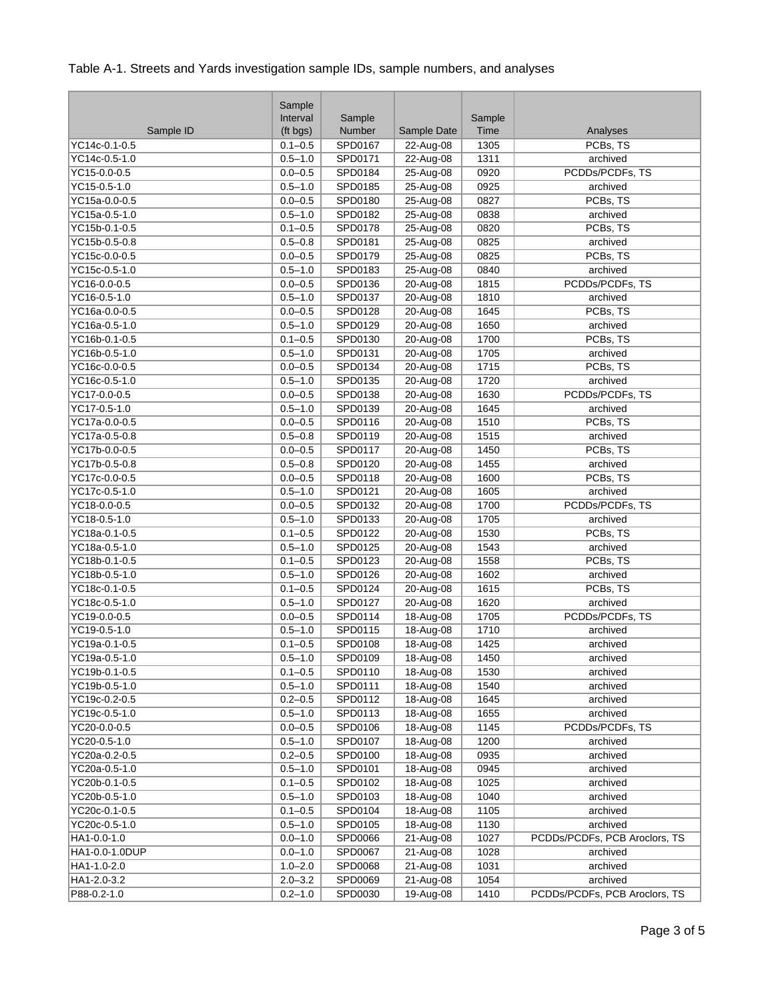|                           | Sample      |         |               |        |                               |
|---------------------------|-------------|---------|---------------|--------|-------------------------------|
|                           | Interval    | Sample  |               | Sample |                               |
| Sample ID                 | (ft bgs)    | Number  | Sample Date   | Time   | Analyses                      |
| YC14c-0.1-0.5             | $0.1 - 0.5$ | SPD0167 | 22-Aug-08     | 1305   | PCBs, TS                      |
| YC14c-0.5-1.0             | $0.5 - 1.0$ | SPD0171 | 22-Aug-08     | 1311   | archived                      |
| YC15-0.0-0.5              | $0.0 - 0.5$ | SPD0184 | 25-Aug-08     | 0920   | PCDDs/PCDFs, TS               |
| YC15-0.5-1.0              | $0.5 - 1.0$ | SPD0185 | 25-Aug-08     | 0925   | archived                      |
| YC15a-0.0-0.5             | $0.0 - 0.5$ | SPD0180 | 25-Aug-08     | 0827   | PCBs, TS                      |
| YC15a-0.5-1.0             | $0.5 - 1.0$ | SPD0182 | 25-Aug-08     | 0838   | archived                      |
| YC15b-0.1-0.5             | $0.1 - 0.5$ | SPD0178 | 25-Aug-08     | 0820   | PCBs, TS                      |
| YC15b-0.5-0.8             | $0.5 - 0.8$ | SPD0181 | 25-Aug-08     | 0825   | archived                      |
| YC15c-0.0-0.5             | $0.0 - 0.5$ | SPD0179 | 25-Aug-08     | 0825   | PCBs, TS                      |
| YC15c-0.5-1.0             | $0.5 - 1.0$ | SPD0183 | 25-Aug-08     | 0840   | archived                      |
| YC16-0.0-0.5              | $0.0 - 0.5$ | SPD0136 | 20-Aug-08     | 1815   | PCDDs/PCDFs, TS               |
| YC16-0.5-1.0              | $0.5 - 1.0$ | SPD0137 | 20-Aug-08     | 1810   | archived                      |
| YC16a-0.0-0.5             | $0.0 - 0.5$ | SPD0128 | 20-Aug-08     | 1645   | PCBs, TS                      |
| YC16a-0.5-1.0             | $0.5 - 1.0$ | SPD0129 | 20-Aug-08     | 1650   | archived                      |
| YC16b-0.1-0.5             | $0.1 - 0.5$ | SPD0130 | 20-Aug-08     | 1700   | PCBs, TS                      |
| YC16b-0.5-1.0             | $0.5 - 1.0$ | SPD0131 | 20-Aug-08     | 1705   | archived                      |
| YC16c-0.0-0.5             | $0.0 - 0.5$ | SPD0134 | 20-Aug-08     | 1715   | PCBs, TS                      |
| YC16c-0.5-1.0             | $0.5 - 1.0$ | SPD0135 | $20 - Aug-08$ | 1720   | archived                      |
| $\overline{YC17-0.0-0.5}$ | $0.0 - 0.5$ | SPD0138 | 20-Aug-08     | 1630   | PCDDs/PCDFs, TS               |
| YC17-0.5-1.0              | $0.5 - 1.0$ | SPD0139 | 20-Aug-08     | 1645   | archived                      |
| YC17a-0.0-0.5             | $0.0 - 0.5$ | SPD0116 | 20-Aug-08     | 1510   | PCBs, TS                      |
| YC17a-0.5-0.8             | $0.5 - 0.8$ | SPD0119 | 20-Aug-08     | 1515   | archived                      |
| YC17b-0.0-0.5             | $0.0 - 0.5$ | SPD0117 | 20-Aug-08     | 1450   | PCBs, TS                      |
| YC17b-0.5-0.8             | $0.5 - 0.8$ | SPD0120 | $20 - Aug-08$ | 1455   | archived                      |
| YC17c-0.0-0.5             | $0.0 - 0.5$ | SPD0118 | 20-Aug-08     | 1600   | PCBs, TS                      |
| YC17c-0.5-1.0             | $0.5 - 1.0$ | SPD0121 | 20-Aug-08     | 1605   | archived                      |
| YC18-0.0-0.5              | $0.0 - 0.5$ | SPD0132 | 20-Aug-08     | 1700   | PCDDs/PCDFs, TS               |
| YC18-0.5-1.0              | $0.5 - 1.0$ | SPD0133 | 20-Aug-08     | 1705   | archived                      |
| YC18a-0.1-0.5             | $0.1 - 0.5$ | SPD0122 | 20-Aug-08     | 1530   | PCBs, TS                      |
| YC18a-0.5-1.0             | $0.5 - 1.0$ | SPD0125 | 20-Aug-08     | 1543   | archived                      |
| YC18b-0.1-0.5             | $0.1 - 0.5$ | SPD0123 | 20-Aug-08     | 1558   | PCBs, TS                      |
| YC18b-0.5-1.0             | $0.5 - 1.0$ | SPD0126 | 20-Aug-08     | 1602   | archived                      |
| YC18c-0.1-0.5             | $0.1 - 0.5$ | SPD0124 | 20-Aug-08     | 1615   | PCBs, TS                      |
| YC18c-0.5-1.0             | $0.5 - 1.0$ | SPD0127 | 20-Aug-08     | 1620   | archived                      |
| YC19-0.0-0.5              | $0.0 - 0.5$ | SPD0114 | 18-Aug-08     | 1705   | PCDDs/PCDFs, TS               |
| YC19-0.5-1.0              | $0.5 - 1.0$ | SPD0115 | 18-Aug-08     | 1710   | archived                      |
| YC19a-0.1-0.5             | $0.1 - 0.5$ | SPD0108 | 18-Aug-08     | 1425   | archived                      |
| YC19a-0.5-1.0             | $0.5 - 1.0$ | SPD0109 | 18-Aug-08     | 1450   | archived                      |
| YC19b-0.1-0.5             | $0.1 - 0.5$ | SPD0110 | 18-Aug-08     | 1530   | archived                      |
| YC19b-0.5-1.0             | $0.5 - 1.0$ | SPD0111 | 18-Aug-08     | 1540   | archived                      |
| YC19c-0.2-0.5             | $0.2 - 0.5$ | SPD0112 | 18-Aug-08     | 1645   | archived                      |
| YC19c-0.5-1.0             | $0.5 - 1.0$ | SPD0113 | 18-Aug-08     | 1655   | archived                      |
| YC20-0.0-0.5              | $0.0 - 0.5$ | SPD0106 | 18-Aug-08     | 1145   | PCDDs/PCDFs, TS               |
| YC20-0.5-1.0              | $0.5 - 1.0$ | SPD0107 | 18-Aug-08     | 1200   | archived                      |
| YC20a-0.2-0.5             | $0.2 - 0.5$ | SPD0100 | 18-Aug-08     | 0935   | archived                      |
| YC20a-0.5-1.0             | $0.5 - 1.0$ | SPD0101 | 18-Aug-08     | 0945   | archived                      |
| YC20b-0.1-0.5             | $0.1 - 0.5$ | SPD0102 | 18-Aug-08     | 1025   | archived                      |
| YC20b-0.5-1.0             | $0.5 - 1.0$ | SPD0103 | 18-Aug-08     | 1040   | archived                      |
| YC20c-0.1-0.5             | $0.1 - 0.5$ | SPD0104 | 18-Aug-08     | 1105   | archived                      |
| YC20c-0.5-1.0             | $0.5 - 1.0$ | SPD0105 | 18-Aug-08     | 1130   | archived                      |
| HA1-0.0-1.0               | $0.0 - 1.0$ | SPD0066 | 21-Aug-08     | 1027   | PCDDs/PCDFs, PCB Aroclors, TS |
| HA1-0.0-1.0DUP            | $0.0 - 1.0$ | SPD0067 | 21-Aug-08     | 1028   | archived                      |
| HA1-1.0-2.0               | $1.0 - 2.0$ | SPD0068 | 21-Aug-08     | 1031   | archived                      |
| HA1-2.0-3.2               | $2.0 - 3.2$ | SPD0069 | 21-Aug-08     | 1054   | archived                      |
| P88-0.2-1.0               | $0.2 - 1.0$ | SPD0030 | 19-Aug-08     | 1410   | PCDDs/PCDFs, PCB Aroclors, TS |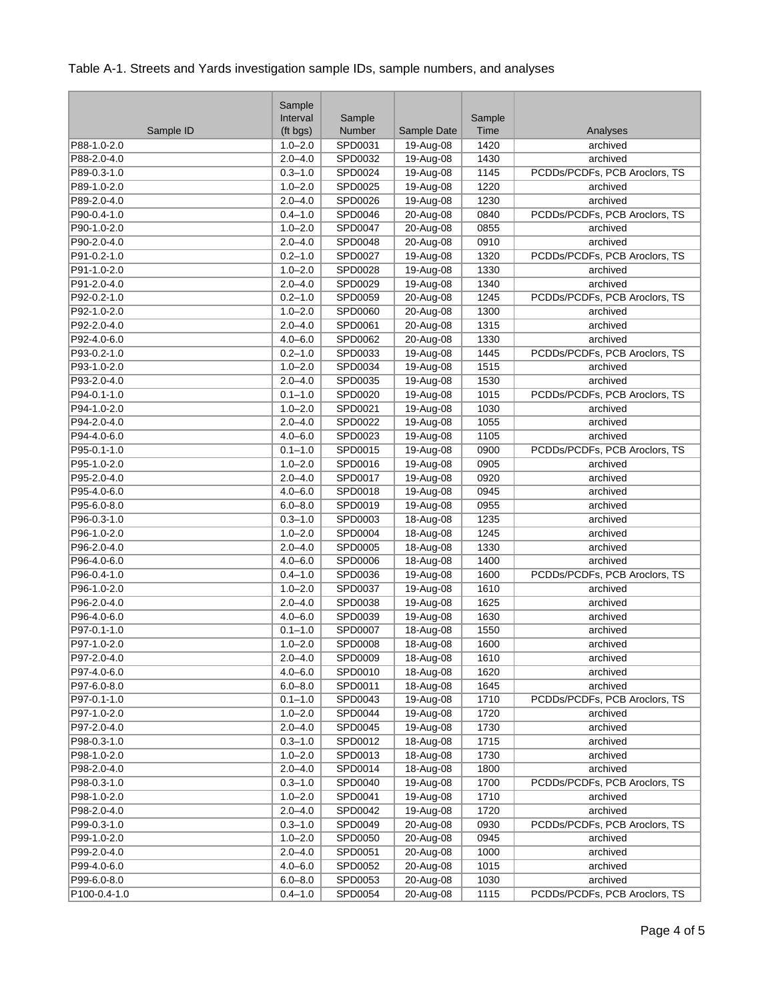| Interval<br>Sample<br>Sample<br>Number<br>Sample ID<br>Sample Date<br>Time<br>(ft bgs)<br>Analyses<br>SPD0031<br>19-Aug-08<br>1420<br>P88-1.0-2.0<br>$1.0 - 2.0$<br>archived<br>$2.0 - 4.0$<br>SPD0032<br>19-Aug-08<br>P88-2.0-4.0<br>1430<br>archived<br>19-Aug-08<br>$0.3 - 1.0$<br>SPD0024<br>PCDDs/PCDFs, PCB Aroclors, TS<br>P89-0.3-1.0<br>1145<br>P89-1.0-2.0<br>SPD0025<br>19-Aug-08<br>1220<br>$1.0 - 2.0$<br>archived<br>P89-2.0-4.0<br>$2.0 - 4.0$<br>SPD0026<br>19-Aug-08<br>1230<br>archived<br>P90-0.4-1.0<br>SPD0046<br>20-Aug-08<br>0840<br>PCDDs/PCDFs, PCB Aroclors, TS<br>$0.4 - 1.0$<br>20-Aug-08<br>0855<br>archived<br>P90-1.0-2.0<br>$1.0 - 2.0$<br><b>SPD0047</b><br>P90-2.0-4.0<br>SPD0048<br>20-Aug-08<br>$2.0 - 4.0$<br>0910<br>archived<br>P91-0.2-1.0<br>$0.2 - 1.0$<br>SPD0027<br>19-Aug-08<br>1320<br>PCDDs/PCDFs, PCB Aroclors, TS<br>19-Aug-08<br>P91-1.0-2.0<br>$1.0 - 2.0$<br>SPD0028<br>1330<br>archived<br>P91-2.0-4.0<br>$2.0 - 4.0$<br>SPD0029<br>19-Aug-08<br>1340<br>archived<br>P92-0.2-1.0<br>SPD0059<br>20-Aug-08<br>1245<br>PCDDs/PCDFs, PCB Aroclors, TS<br>$0.2 - 1.0$<br>P92-1.0-2.0<br>$1.0 - 2.0$<br>SPD0060<br>20-Aug-08<br>1300<br>archived<br>20-Aug-08<br>P92-2.0-4.0<br>$2.0 - 4.0$<br>SPD0061<br>1315<br>archived<br>P92-4.0-6.0<br>$4.0 - 6.0$<br>SPD0062<br>20-Aug-08<br>1330<br>archived<br>19-Aug-08<br>PCDDs/PCDFs, PCB Aroclors, TS<br>P93-0.2-1.0<br>$0.2 - 1.0$<br>SPD0033<br>1445<br>P93-1.0-2.0<br>$1.0 - 2.0$<br>SPD0034<br>19-Aug-08<br>1515<br>archived<br>P93-2.0-4.0<br>SPD0035<br>19-Aug-08<br>1530<br>$2.0 - 4.0$<br>archived<br><b>SPD0020</b><br>19-Aug-08<br>PCDDs/PCDFs, PCB Aroclors, TS<br>P94-0.1-1.0<br>$0.1 - 1.0$<br>1015<br>19-Aug-08<br>P94-1.0-2.0<br>$1.0 - 2.0$<br>SPD0021<br>1030<br>archived<br>P94-2.0-4.0<br>SPD0022<br>19-Aug-08<br>1055<br>$2.0 - 4.0$<br>archived<br>P94-4.0-6.0<br>19-Aug-08<br>1105<br>$4.0 - 6.0$<br>SPD0023<br>archived<br>P95-0.1-1.0<br>19-Aug-08<br>PCDDs/PCDFs, PCB Aroclors, TS<br>$0.1 - 1.0$<br>SPD0015<br>0900<br>P95-1.0-2.0<br>SPD0016<br>19-Aug-08<br>0905<br>$1.0 - 2.0$<br>archived<br>SPD0017<br>19-Aug-08<br>P95-2.0-4.0<br>$2.0 - 4.0$<br>0920<br>archived<br>$4.0 - 6.0$<br>19-Aug-08<br>P95-4.0-6.0<br>SPD0018<br>0945<br>archived<br>SPD0019<br>19-Aug-08<br>P95-6.0-8.0<br>$6.0 - 8.0$<br>0955<br>archived<br>$0.3 - 1.0$<br>SPD0003<br>18-Aug-08<br>1235<br>P96-0.3-1.0<br>archived<br>P96-1.0-2.0<br>SPD0004<br>18-Aug-08<br>$1.0 - 2.0$<br>1245<br>archived<br>P96-2.0-4.0<br>SPD0005<br>18-Aug-08<br>1330<br>$2.0 - 4.0$<br>archived<br>SPD0006<br>18-Aug-08<br>1400<br>P96-4.0-6.0<br>$4.0 - 6.0$<br>archived<br>19-Aug-08<br>PCDDs/PCDFs, PCB Aroclors, TS<br>P96-0.4-1.0<br>$0.4 - 1.0$<br>SPD0036<br>1600<br>SPD0037<br>19-Aug-08<br>P96-1.0-2.0<br>$1.0 - 2.0$<br>1610<br>archived<br>P96-2.0-4.0<br>SPD0038<br>19-Aug-08<br>1625<br>$2.0 - 4.0$<br>archived<br>P96-4.0-6.0<br>19-Aug-08<br>$4.0 - 6.0$<br>SPD0039<br>1630<br>archived<br>P97-0.1-1.0<br>SPD0007<br>18-Aug-08<br>1550<br>$0.1 - 1.0$<br>archived<br>18-Aug-08<br>1600<br>P97-1.0-2.0<br>$1.0 - 2.0$<br>SPD0008<br>archived<br>18-Aug-08<br>P97-2.0-4.0<br>$2.0 - 4.0$<br>1610<br>archived<br>SPD0009<br>P97-4.0-6.0<br>$4.0 - 6.0$<br>SPD0010<br>18-Aug-08<br>1620<br>archived<br>P97-6.0-8.0<br>$6.0 - 8.0$<br>SPD0011<br>18-Aug-08<br>1645<br>archived<br>PCDDs/PCDFs, PCB Aroclors, TS<br>P97-0.1-1.0<br>$0.1 - 1.0$<br>SPD0043<br>19-Aug-08<br>1710<br>P97-1.0-2.0<br>SPD0044<br>19-Aug-08<br>1720<br>$1.0 - 2.0$<br>archived<br>P97-2.0-4.0<br>SPD0045<br>19-Aug-08<br>1730<br>$2.0 - 4.0$<br>archived<br>18-Aug-08<br>P98-0.3-1.0<br>$0.3 - 1.0$<br>SPD0012<br>1715<br>archived<br>18-Aug-08<br>1730<br>P98-1.0-2.0<br>$1.0 - 2.0$<br>SPD0013<br>archived<br>P98-2.0-4.0<br>$2.0 - 4.0$<br>SPD0014<br>18-Aug-08<br>1800<br>archived<br>19-Aug-08<br>PCDDs/PCDFs, PCB Aroclors, TS<br>P98-0.3-1.0<br>$0.3 - 1.0$<br>SPD0040<br>1700<br>P98-1.0-2.0<br>$1.0 - 2.0$<br>SPD0041<br>19-Aug-08<br>1710<br>archived<br>SPD0042<br>P98-2.0-4.0<br>$2.0 - 4.0$<br>19-Aug-08<br>1720<br>archived<br>$0.3 - 1.0$<br>20-Aug-08<br>PCDDs/PCDFs, PCB Aroclors, TS<br>P99-0.3-1.0<br>SPD0049<br>0930<br>P99-1.0-2.0<br>$1.0 - 2.0$<br>SPD0050<br>20-Aug-08<br>0945<br>archived<br>P99-2.0-4.0<br>$2.0 - 4.0$<br>SPD0051<br>20-Aug-08<br>1000<br>archived<br>P99-4.0-6.0<br>SPD0052<br>20-Aug-08<br>$4.0 - 6.0$<br>1015<br>archived<br>archived<br>P99-6.0-8.0<br>$6.0 - 8.0$<br>SPD0053<br>20-Aug-08<br>1030<br>P100-0.4-1.0<br>PCDDs/PCDFs, PCB Aroclors, TS<br>$0.4 - 1.0$<br>SPD0054<br>20-Aug-08<br>1115 | Sample |  |  |
|---------------------------------------------------------------------------------------------------------------------------------------------------------------------------------------------------------------------------------------------------------------------------------------------------------------------------------------------------------------------------------------------------------------------------------------------------------------------------------------------------------------------------------------------------------------------------------------------------------------------------------------------------------------------------------------------------------------------------------------------------------------------------------------------------------------------------------------------------------------------------------------------------------------------------------------------------------------------------------------------------------------------------------------------------------------------------------------------------------------------------------------------------------------------------------------------------------------------------------------------------------------------------------------------------------------------------------------------------------------------------------------------------------------------------------------------------------------------------------------------------------------------------------------------------------------------------------------------------------------------------------------------------------------------------------------------------------------------------------------------------------------------------------------------------------------------------------------------------------------------------------------------------------------------------------------------------------------------------------------------------------------------------------------------------------------------------------------------------------------------------------------------------------------------------------------------------------------------------------------------------------------------------------------------------------------------------------------------------------------------------------------------------------------------------------------------------------------------------------------------------------------------------------------------------------------------------------------------------------------------------------------------------------------------------------------------------------------------------------------------------------------------------------------------------------------------------------------------------------------------------------------------------------------------------------------------------------------------------------------------------------------------------------------------------------------------------------------------------------------------------------------------------------------------------------------------------------------------------------------------------------------------------------------------------------------------------------------------------------------------------------------------------------------------------------------------------------------------------------------------------------------------------------------------------------------------------------------------------------------------------------------------------------------------------------------------------------------------------------------------------------------------------------------------------------------------------------------------------------------------------------------------------------------------------------------------------------------------------------------------------------------------------------------------------------------------------------------------------------------------------------------------------------------------------------------------------------------------------------------------------------------------------------------------------------------------------------------------------------------------------------------------------------------------------------------------------------------------------------------------------------------------------------------------------------------------------------------------------------------------|--------|--|--|
|                                                                                                                                                                                                                                                                                                                                                                                                                                                                                                                                                                                                                                                                                                                                                                                                                                                                                                                                                                                                                                                                                                                                                                                                                                                                                                                                                                                                                                                                                                                                                                                                                                                                                                                                                                                                                                                                                                                                                                                                                                                                                                                                                                                                                                                                                                                                                                                                                                                                                                                                                                                                                                                                                                                                                                                                                                                                                                                                                                                                                                                                                                                                                                                                                                                                                                                                                                                                                                                                                                                                                                                                                                                                                                                                                                                                                                                                                                                                                                                                                                                                                                                                                                                                                                                                                                                                                                                                                                                                                                                                                                                                                     |        |  |  |
|                                                                                                                                                                                                                                                                                                                                                                                                                                                                                                                                                                                                                                                                                                                                                                                                                                                                                                                                                                                                                                                                                                                                                                                                                                                                                                                                                                                                                                                                                                                                                                                                                                                                                                                                                                                                                                                                                                                                                                                                                                                                                                                                                                                                                                                                                                                                                                                                                                                                                                                                                                                                                                                                                                                                                                                                                                                                                                                                                                                                                                                                                                                                                                                                                                                                                                                                                                                                                                                                                                                                                                                                                                                                                                                                                                                                                                                                                                                                                                                                                                                                                                                                                                                                                                                                                                                                                                                                                                                                                                                                                                                                                     |        |  |  |
|                                                                                                                                                                                                                                                                                                                                                                                                                                                                                                                                                                                                                                                                                                                                                                                                                                                                                                                                                                                                                                                                                                                                                                                                                                                                                                                                                                                                                                                                                                                                                                                                                                                                                                                                                                                                                                                                                                                                                                                                                                                                                                                                                                                                                                                                                                                                                                                                                                                                                                                                                                                                                                                                                                                                                                                                                                                                                                                                                                                                                                                                                                                                                                                                                                                                                                                                                                                                                                                                                                                                                                                                                                                                                                                                                                                                                                                                                                                                                                                                                                                                                                                                                                                                                                                                                                                                                                                                                                                                                                                                                                                                                     |        |  |  |
|                                                                                                                                                                                                                                                                                                                                                                                                                                                                                                                                                                                                                                                                                                                                                                                                                                                                                                                                                                                                                                                                                                                                                                                                                                                                                                                                                                                                                                                                                                                                                                                                                                                                                                                                                                                                                                                                                                                                                                                                                                                                                                                                                                                                                                                                                                                                                                                                                                                                                                                                                                                                                                                                                                                                                                                                                                                                                                                                                                                                                                                                                                                                                                                                                                                                                                                                                                                                                                                                                                                                                                                                                                                                                                                                                                                                                                                                                                                                                                                                                                                                                                                                                                                                                                                                                                                                                                                                                                                                                                                                                                                                                     |        |  |  |
|                                                                                                                                                                                                                                                                                                                                                                                                                                                                                                                                                                                                                                                                                                                                                                                                                                                                                                                                                                                                                                                                                                                                                                                                                                                                                                                                                                                                                                                                                                                                                                                                                                                                                                                                                                                                                                                                                                                                                                                                                                                                                                                                                                                                                                                                                                                                                                                                                                                                                                                                                                                                                                                                                                                                                                                                                                                                                                                                                                                                                                                                                                                                                                                                                                                                                                                                                                                                                                                                                                                                                                                                                                                                                                                                                                                                                                                                                                                                                                                                                                                                                                                                                                                                                                                                                                                                                                                                                                                                                                                                                                                                                     |        |  |  |
|                                                                                                                                                                                                                                                                                                                                                                                                                                                                                                                                                                                                                                                                                                                                                                                                                                                                                                                                                                                                                                                                                                                                                                                                                                                                                                                                                                                                                                                                                                                                                                                                                                                                                                                                                                                                                                                                                                                                                                                                                                                                                                                                                                                                                                                                                                                                                                                                                                                                                                                                                                                                                                                                                                                                                                                                                                                                                                                                                                                                                                                                                                                                                                                                                                                                                                                                                                                                                                                                                                                                                                                                                                                                                                                                                                                                                                                                                                                                                                                                                                                                                                                                                                                                                                                                                                                                                                                                                                                                                                                                                                                                                     |        |  |  |
|                                                                                                                                                                                                                                                                                                                                                                                                                                                                                                                                                                                                                                                                                                                                                                                                                                                                                                                                                                                                                                                                                                                                                                                                                                                                                                                                                                                                                                                                                                                                                                                                                                                                                                                                                                                                                                                                                                                                                                                                                                                                                                                                                                                                                                                                                                                                                                                                                                                                                                                                                                                                                                                                                                                                                                                                                                                                                                                                                                                                                                                                                                                                                                                                                                                                                                                                                                                                                                                                                                                                                                                                                                                                                                                                                                                                                                                                                                                                                                                                                                                                                                                                                                                                                                                                                                                                                                                                                                                                                                                                                                                                                     |        |  |  |
|                                                                                                                                                                                                                                                                                                                                                                                                                                                                                                                                                                                                                                                                                                                                                                                                                                                                                                                                                                                                                                                                                                                                                                                                                                                                                                                                                                                                                                                                                                                                                                                                                                                                                                                                                                                                                                                                                                                                                                                                                                                                                                                                                                                                                                                                                                                                                                                                                                                                                                                                                                                                                                                                                                                                                                                                                                                                                                                                                                                                                                                                                                                                                                                                                                                                                                                                                                                                                                                                                                                                                                                                                                                                                                                                                                                                                                                                                                                                                                                                                                                                                                                                                                                                                                                                                                                                                                                                                                                                                                                                                                                                                     |        |  |  |
|                                                                                                                                                                                                                                                                                                                                                                                                                                                                                                                                                                                                                                                                                                                                                                                                                                                                                                                                                                                                                                                                                                                                                                                                                                                                                                                                                                                                                                                                                                                                                                                                                                                                                                                                                                                                                                                                                                                                                                                                                                                                                                                                                                                                                                                                                                                                                                                                                                                                                                                                                                                                                                                                                                                                                                                                                                                                                                                                                                                                                                                                                                                                                                                                                                                                                                                                                                                                                                                                                                                                                                                                                                                                                                                                                                                                                                                                                                                                                                                                                                                                                                                                                                                                                                                                                                                                                                                                                                                                                                                                                                                                                     |        |  |  |
|                                                                                                                                                                                                                                                                                                                                                                                                                                                                                                                                                                                                                                                                                                                                                                                                                                                                                                                                                                                                                                                                                                                                                                                                                                                                                                                                                                                                                                                                                                                                                                                                                                                                                                                                                                                                                                                                                                                                                                                                                                                                                                                                                                                                                                                                                                                                                                                                                                                                                                                                                                                                                                                                                                                                                                                                                                                                                                                                                                                                                                                                                                                                                                                                                                                                                                                                                                                                                                                                                                                                                                                                                                                                                                                                                                                                                                                                                                                                                                                                                                                                                                                                                                                                                                                                                                                                                                                                                                                                                                                                                                                                                     |        |  |  |
|                                                                                                                                                                                                                                                                                                                                                                                                                                                                                                                                                                                                                                                                                                                                                                                                                                                                                                                                                                                                                                                                                                                                                                                                                                                                                                                                                                                                                                                                                                                                                                                                                                                                                                                                                                                                                                                                                                                                                                                                                                                                                                                                                                                                                                                                                                                                                                                                                                                                                                                                                                                                                                                                                                                                                                                                                                                                                                                                                                                                                                                                                                                                                                                                                                                                                                                                                                                                                                                                                                                                                                                                                                                                                                                                                                                                                                                                                                                                                                                                                                                                                                                                                                                                                                                                                                                                                                                                                                                                                                                                                                                                                     |        |  |  |
|                                                                                                                                                                                                                                                                                                                                                                                                                                                                                                                                                                                                                                                                                                                                                                                                                                                                                                                                                                                                                                                                                                                                                                                                                                                                                                                                                                                                                                                                                                                                                                                                                                                                                                                                                                                                                                                                                                                                                                                                                                                                                                                                                                                                                                                                                                                                                                                                                                                                                                                                                                                                                                                                                                                                                                                                                                                                                                                                                                                                                                                                                                                                                                                                                                                                                                                                                                                                                                                                                                                                                                                                                                                                                                                                                                                                                                                                                                                                                                                                                                                                                                                                                                                                                                                                                                                                                                                                                                                                                                                                                                                                                     |        |  |  |
|                                                                                                                                                                                                                                                                                                                                                                                                                                                                                                                                                                                                                                                                                                                                                                                                                                                                                                                                                                                                                                                                                                                                                                                                                                                                                                                                                                                                                                                                                                                                                                                                                                                                                                                                                                                                                                                                                                                                                                                                                                                                                                                                                                                                                                                                                                                                                                                                                                                                                                                                                                                                                                                                                                                                                                                                                                                                                                                                                                                                                                                                                                                                                                                                                                                                                                                                                                                                                                                                                                                                                                                                                                                                                                                                                                                                                                                                                                                                                                                                                                                                                                                                                                                                                                                                                                                                                                                                                                                                                                                                                                                                                     |        |  |  |
|                                                                                                                                                                                                                                                                                                                                                                                                                                                                                                                                                                                                                                                                                                                                                                                                                                                                                                                                                                                                                                                                                                                                                                                                                                                                                                                                                                                                                                                                                                                                                                                                                                                                                                                                                                                                                                                                                                                                                                                                                                                                                                                                                                                                                                                                                                                                                                                                                                                                                                                                                                                                                                                                                                                                                                                                                                                                                                                                                                                                                                                                                                                                                                                                                                                                                                                                                                                                                                                                                                                                                                                                                                                                                                                                                                                                                                                                                                                                                                                                                                                                                                                                                                                                                                                                                                                                                                                                                                                                                                                                                                                                                     |        |  |  |
|                                                                                                                                                                                                                                                                                                                                                                                                                                                                                                                                                                                                                                                                                                                                                                                                                                                                                                                                                                                                                                                                                                                                                                                                                                                                                                                                                                                                                                                                                                                                                                                                                                                                                                                                                                                                                                                                                                                                                                                                                                                                                                                                                                                                                                                                                                                                                                                                                                                                                                                                                                                                                                                                                                                                                                                                                                                                                                                                                                                                                                                                                                                                                                                                                                                                                                                                                                                                                                                                                                                                                                                                                                                                                                                                                                                                                                                                                                                                                                                                                                                                                                                                                                                                                                                                                                                                                                                                                                                                                                                                                                                                                     |        |  |  |
|                                                                                                                                                                                                                                                                                                                                                                                                                                                                                                                                                                                                                                                                                                                                                                                                                                                                                                                                                                                                                                                                                                                                                                                                                                                                                                                                                                                                                                                                                                                                                                                                                                                                                                                                                                                                                                                                                                                                                                                                                                                                                                                                                                                                                                                                                                                                                                                                                                                                                                                                                                                                                                                                                                                                                                                                                                                                                                                                                                                                                                                                                                                                                                                                                                                                                                                                                                                                                                                                                                                                                                                                                                                                                                                                                                                                                                                                                                                                                                                                                                                                                                                                                                                                                                                                                                                                                                                                                                                                                                                                                                                                                     |        |  |  |
|                                                                                                                                                                                                                                                                                                                                                                                                                                                                                                                                                                                                                                                                                                                                                                                                                                                                                                                                                                                                                                                                                                                                                                                                                                                                                                                                                                                                                                                                                                                                                                                                                                                                                                                                                                                                                                                                                                                                                                                                                                                                                                                                                                                                                                                                                                                                                                                                                                                                                                                                                                                                                                                                                                                                                                                                                                                                                                                                                                                                                                                                                                                                                                                                                                                                                                                                                                                                                                                                                                                                                                                                                                                                                                                                                                                                                                                                                                                                                                                                                                                                                                                                                                                                                                                                                                                                                                                                                                                                                                                                                                                                                     |        |  |  |
|                                                                                                                                                                                                                                                                                                                                                                                                                                                                                                                                                                                                                                                                                                                                                                                                                                                                                                                                                                                                                                                                                                                                                                                                                                                                                                                                                                                                                                                                                                                                                                                                                                                                                                                                                                                                                                                                                                                                                                                                                                                                                                                                                                                                                                                                                                                                                                                                                                                                                                                                                                                                                                                                                                                                                                                                                                                                                                                                                                                                                                                                                                                                                                                                                                                                                                                                                                                                                                                                                                                                                                                                                                                                                                                                                                                                                                                                                                                                                                                                                                                                                                                                                                                                                                                                                                                                                                                                                                                                                                                                                                                                                     |        |  |  |
|                                                                                                                                                                                                                                                                                                                                                                                                                                                                                                                                                                                                                                                                                                                                                                                                                                                                                                                                                                                                                                                                                                                                                                                                                                                                                                                                                                                                                                                                                                                                                                                                                                                                                                                                                                                                                                                                                                                                                                                                                                                                                                                                                                                                                                                                                                                                                                                                                                                                                                                                                                                                                                                                                                                                                                                                                                                                                                                                                                                                                                                                                                                                                                                                                                                                                                                                                                                                                                                                                                                                                                                                                                                                                                                                                                                                                                                                                                                                                                                                                                                                                                                                                                                                                                                                                                                                                                                                                                                                                                                                                                                                                     |        |  |  |
|                                                                                                                                                                                                                                                                                                                                                                                                                                                                                                                                                                                                                                                                                                                                                                                                                                                                                                                                                                                                                                                                                                                                                                                                                                                                                                                                                                                                                                                                                                                                                                                                                                                                                                                                                                                                                                                                                                                                                                                                                                                                                                                                                                                                                                                                                                                                                                                                                                                                                                                                                                                                                                                                                                                                                                                                                                                                                                                                                                                                                                                                                                                                                                                                                                                                                                                                                                                                                                                                                                                                                                                                                                                                                                                                                                                                                                                                                                                                                                                                                                                                                                                                                                                                                                                                                                                                                                                                                                                                                                                                                                                                                     |        |  |  |
|                                                                                                                                                                                                                                                                                                                                                                                                                                                                                                                                                                                                                                                                                                                                                                                                                                                                                                                                                                                                                                                                                                                                                                                                                                                                                                                                                                                                                                                                                                                                                                                                                                                                                                                                                                                                                                                                                                                                                                                                                                                                                                                                                                                                                                                                                                                                                                                                                                                                                                                                                                                                                                                                                                                                                                                                                                                                                                                                                                                                                                                                                                                                                                                                                                                                                                                                                                                                                                                                                                                                                                                                                                                                                                                                                                                                                                                                                                                                                                                                                                                                                                                                                                                                                                                                                                                                                                                                                                                                                                                                                                                                                     |        |  |  |
|                                                                                                                                                                                                                                                                                                                                                                                                                                                                                                                                                                                                                                                                                                                                                                                                                                                                                                                                                                                                                                                                                                                                                                                                                                                                                                                                                                                                                                                                                                                                                                                                                                                                                                                                                                                                                                                                                                                                                                                                                                                                                                                                                                                                                                                                                                                                                                                                                                                                                                                                                                                                                                                                                                                                                                                                                                                                                                                                                                                                                                                                                                                                                                                                                                                                                                                                                                                                                                                                                                                                                                                                                                                                                                                                                                                                                                                                                                                                                                                                                                                                                                                                                                                                                                                                                                                                                                                                                                                                                                                                                                                                                     |        |  |  |
|                                                                                                                                                                                                                                                                                                                                                                                                                                                                                                                                                                                                                                                                                                                                                                                                                                                                                                                                                                                                                                                                                                                                                                                                                                                                                                                                                                                                                                                                                                                                                                                                                                                                                                                                                                                                                                                                                                                                                                                                                                                                                                                                                                                                                                                                                                                                                                                                                                                                                                                                                                                                                                                                                                                                                                                                                                                                                                                                                                                                                                                                                                                                                                                                                                                                                                                                                                                                                                                                                                                                                                                                                                                                                                                                                                                                                                                                                                                                                                                                                                                                                                                                                                                                                                                                                                                                                                                                                                                                                                                                                                                                                     |        |  |  |
|                                                                                                                                                                                                                                                                                                                                                                                                                                                                                                                                                                                                                                                                                                                                                                                                                                                                                                                                                                                                                                                                                                                                                                                                                                                                                                                                                                                                                                                                                                                                                                                                                                                                                                                                                                                                                                                                                                                                                                                                                                                                                                                                                                                                                                                                                                                                                                                                                                                                                                                                                                                                                                                                                                                                                                                                                                                                                                                                                                                                                                                                                                                                                                                                                                                                                                                                                                                                                                                                                                                                                                                                                                                                                                                                                                                                                                                                                                                                                                                                                                                                                                                                                                                                                                                                                                                                                                                                                                                                                                                                                                                                                     |        |  |  |
|                                                                                                                                                                                                                                                                                                                                                                                                                                                                                                                                                                                                                                                                                                                                                                                                                                                                                                                                                                                                                                                                                                                                                                                                                                                                                                                                                                                                                                                                                                                                                                                                                                                                                                                                                                                                                                                                                                                                                                                                                                                                                                                                                                                                                                                                                                                                                                                                                                                                                                                                                                                                                                                                                                                                                                                                                                                                                                                                                                                                                                                                                                                                                                                                                                                                                                                                                                                                                                                                                                                                                                                                                                                                                                                                                                                                                                                                                                                                                                                                                                                                                                                                                                                                                                                                                                                                                                                                                                                                                                                                                                                                                     |        |  |  |
|                                                                                                                                                                                                                                                                                                                                                                                                                                                                                                                                                                                                                                                                                                                                                                                                                                                                                                                                                                                                                                                                                                                                                                                                                                                                                                                                                                                                                                                                                                                                                                                                                                                                                                                                                                                                                                                                                                                                                                                                                                                                                                                                                                                                                                                                                                                                                                                                                                                                                                                                                                                                                                                                                                                                                                                                                                                                                                                                                                                                                                                                                                                                                                                                                                                                                                                                                                                                                                                                                                                                                                                                                                                                                                                                                                                                                                                                                                                                                                                                                                                                                                                                                                                                                                                                                                                                                                                                                                                                                                                                                                                                                     |        |  |  |
|                                                                                                                                                                                                                                                                                                                                                                                                                                                                                                                                                                                                                                                                                                                                                                                                                                                                                                                                                                                                                                                                                                                                                                                                                                                                                                                                                                                                                                                                                                                                                                                                                                                                                                                                                                                                                                                                                                                                                                                                                                                                                                                                                                                                                                                                                                                                                                                                                                                                                                                                                                                                                                                                                                                                                                                                                                                                                                                                                                                                                                                                                                                                                                                                                                                                                                                                                                                                                                                                                                                                                                                                                                                                                                                                                                                                                                                                                                                                                                                                                                                                                                                                                                                                                                                                                                                                                                                                                                                                                                                                                                                                                     |        |  |  |
|                                                                                                                                                                                                                                                                                                                                                                                                                                                                                                                                                                                                                                                                                                                                                                                                                                                                                                                                                                                                                                                                                                                                                                                                                                                                                                                                                                                                                                                                                                                                                                                                                                                                                                                                                                                                                                                                                                                                                                                                                                                                                                                                                                                                                                                                                                                                                                                                                                                                                                                                                                                                                                                                                                                                                                                                                                                                                                                                                                                                                                                                                                                                                                                                                                                                                                                                                                                                                                                                                                                                                                                                                                                                                                                                                                                                                                                                                                                                                                                                                                                                                                                                                                                                                                                                                                                                                                                                                                                                                                                                                                                                                     |        |  |  |
|                                                                                                                                                                                                                                                                                                                                                                                                                                                                                                                                                                                                                                                                                                                                                                                                                                                                                                                                                                                                                                                                                                                                                                                                                                                                                                                                                                                                                                                                                                                                                                                                                                                                                                                                                                                                                                                                                                                                                                                                                                                                                                                                                                                                                                                                                                                                                                                                                                                                                                                                                                                                                                                                                                                                                                                                                                                                                                                                                                                                                                                                                                                                                                                                                                                                                                                                                                                                                                                                                                                                                                                                                                                                                                                                                                                                                                                                                                                                                                                                                                                                                                                                                                                                                                                                                                                                                                                                                                                                                                                                                                                                                     |        |  |  |
|                                                                                                                                                                                                                                                                                                                                                                                                                                                                                                                                                                                                                                                                                                                                                                                                                                                                                                                                                                                                                                                                                                                                                                                                                                                                                                                                                                                                                                                                                                                                                                                                                                                                                                                                                                                                                                                                                                                                                                                                                                                                                                                                                                                                                                                                                                                                                                                                                                                                                                                                                                                                                                                                                                                                                                                                                                                                                                                                                                                                                                                                                                                                                                                                                                                                                                                                                                                                                                                                                                                                                                                                                                                                                                                                                                                                                                                                                                                                                                                                                                                                                                                                                                                                                                                                                                                                                                                                                                                                                                                                                                                                                     |        |  |  |
|                                                                                                                                                                                                                                                                                                                                                                                                                                                                                                                                                                                                                                                                                                                                                                                                                                                                                                                                                                                                                                                                                                                                                                                                                                                                                                                                                                                                                                                                                                                                                                                                                                                                                                                                                                                                                                                                                                                                                                                                                                                                                                                                                                                                                                                                                                                                                                                                                                                                                                                                                                                                                                                                                                                                                                                                                                                                                                                                                                                                                                                                                                                                                                                                                                                                                                                                                                                                                                                                                                                                                                                                                                                                                                                                                                                                                                                                                                                                                                                                                                                                                                                                                                                                                                                                                                                                                                                                                                                                                                                                                                                                                     |        |  |  |
|                                                                                                                                                                                                                                                                                                                                                                                                                                                                                                                                                                                                                                                                                                                                                                                                                                                                                                                                                                                                                                                                                                                                                                                                                                                                                                                                                                                                                                                                                                                                                                                                                                                                                                                                                                                                                                                                                                                                                                                                                                                                                                                                                                                                                                                                                                                                                                                                                                                                                                                                                                                                                                                                                                                                                                                                                                                                                                                                                                                                                                                                                                                                                                                                                                                                                                                                                                                                                                                                                                                                                                                                                                                                                                                                                                                                                                                                                                                                                                                                                                                                                                                                                                                                                                                                                                                                                                                                                                                                                                                                                                                                                     |        |  |  |
|                                                                                                                                                                                                                                                                                                                                                                                                                                                                                                                                                                                                                                                                                                                                                                                                                                                                                                                                                                                                                                                                                                                                                                                                                                                                                                                                                                                                                                                                                                                                                                                                                                                                                                                                                                                                                                                                                                                                                                                                                                                                                                                                                                                                                                                                                                                                                                                                                                                                                                                                                                                                                                                                                                                                                                                                                                                                                                                                                                                                                                                                                                                                                                                                                                                                                                                                                                                                                                                                                                                                                                                                                                                                                                                                                                                                                                                                                                                                                                                                                                                                                                                                                                                                                                                                                                                                                                                                                                                                                                                                                                                                                     |        |  |  |
|                                                                                                                                                                                                                                                                                                                                                                                                                                                                                                                                                                                                                                                                                                                                                                                                                                                                                                                                                                                                                                                                                                                                                                                                                                                                                                                                                                                                                                                                                                                                                                                                                                                                                                                                                                                                                                                                                                                                                                                                                                                                                                                                                                                                                                                                                                                                                                                                                                                                                                                                                                                                                                                                                                                                                                                                                                                                                                                                                                                                                                                                                                                                                                                                                                                                                                                                                                                                                                                                                                                                                                                                                                                                                                                                                                                                                                                                                                                                                                                                                                                                                                                                                                                                                                                                                                                                                                                                                                                                                                                                                                                                                     |        |  |  |
|                                                                                                                                                                                                                                                                                                                                                                                                                                                                                                                                                                                                                                                                                                                                                                                                                                                                                                                                                                                                                                                                                                                                                                                                                                                                                                                                                                                                                                                                                                                                                                                                                                                                                                                                                                                                                                                                                                                                                                                                                                                                                                                                                                                                                                                                                                                                                                                                                                                                                                                                                                                                                                                                                                                                                                                                                                                                                                                                                                                                                                                                                                                                                                                                                                                                                                                                                                                                                                                                                                                                                                                                                                                                                                                                                                                                                                                                                                                                                                                                                                                                                                                                                                                                                                                                                                                                                                                                                                                                                                                                                                                                                     |        |  |  |
|                                                                                                                                                                                                                                                                                                                                                                                                                                                                                                                                                                                                                                                                                                                                                                                                                                                                                                                                                                                                                                                                                                                                                                                                                                                                                                                                                                                                                                                                                                                                                                                                                                                                                                                                                                                                                                                                                                                                                                                                                                                                                                                                                                                                                                                                                                                                                                                                                                                                                                                                                                                                                                                                                                                                                                                                                                                                                                                                                                                                                                                                                                                                                                                                                                                                                                                                                                                                                                                                                                                                                                                                                                                                                                                                                                                                                                                                                                                                                                                                                                                                                                                                                                                                                                                                                                                                                                                                                                                                                                                                                                                                                     |        |  |  |
|                                                                                                                                                                                                                                                                                                                                                                                                                                                                                                                                                                                                                                                                                                                                                                                                                                                                                                                                                                                                                                                                                                                                                                                                                                                                                                                                                                                                                                                                                                                                                                                                                                                                                                                                                                                                                                                                                                                                                                                                                                                                                                                                                                                                                                                                                                                                                                                                                                                                                                                                                                                                                                                                                                                                                                                                                                                                                                                                                                                                                                                                                                                                                                                                                                                                                                                                                                                                                                                                                                                                                                                                                                                                                                                                                                                                                                                                                                                                                                                                                                                                                                                                                                                                                                                                                                                                                                                                                                                                                                                                                                                                                     |        |  |  |
|                                                                                                                                                                                                                                                                                                                                                                                                                                                                                                                                                                                                                                                                                                                                                                                                                                                                                                                                                                                                                                                                                                                                                                                                                                                                                                                                                                                                                                                                                                                                                                                                                                                                                                                                                                                                                                                                                                                                                                                                                                                                                                                                                                                                                                                                                                                                                                                                                                                                                                                                                                                                                                                                                                                                                                                                                                                                                                                                                                                                                                                                                                                                                                                                                                                                                                                                                                                                                                                                                                                                                                                                                                                                                                                                                                                                                                                                                                                                                                                                                                                                                                                                                                                                                                                                                                                                                                                                                                                                                                                                                                                                                     |        |  |  |
|                                                                                                                                                                                                                                                                                                                                                                                                                                                                                                                                                                                                                                                                                                                                                                                                                                                                                                                                                                                                                                                                                                                                                                                                                                                                                                                                                                                                                                                                                                                                                                                                                                                                                                                                                                                                                                                                                                                                                                                                                                                                                                                                                                                                                                                                                                                                                                                                                                                                                                                                                                                                                                                                                                                                                                                                                                                                                                                                                                                                                                                                                                                                                                                                                                                                                                                                                                                                                                                                                                                                                                                                                                                                                                                                                                                                                                                                                                                                                                                                                                                                                                                                                                                                                                                                                                                                                                                                                                                                                                                                                                                                                     |        |  |  |
|                                                                                                                                                                                                                                                                                                                                                                                                                                                                                                                                                                                                                                                                                                                                                                                                                                                                                                                                                                                                                                                                                                                                                                                                                                                                                                                                                                                                                                                                                                                                                                                                                                                                                                                                                                                                                                                                                                                                                                                                                                                                                                                                                                                                                                                                                                                                                                                                                                                                                                                                                                                                                                                                                                                                                                                                                                                                                                                                                                                                                                                                                                                                                                                                                                                                                                                                                                                                                                                                                                                                                                                                                                                                                                                                                                                                                                                                                                                                                                                                                                                                                                                                                                                                                                                                                                                                                                                                                                                                                                                                                                                                                     |        |  |  |
|                                                                                                                                                                                                                                                                                                                                                                                                                                                                                                                                                                                                                                                                                                                                                                                                                                                                                                                                                                                                                                                                                                                                                                                                                                                                                                                                                                                                                                                                                                                                                                                                                                                                                                                                                                                                                                                                                                                                                                                                                                                                                                                                                                                                                                                                                                                                                                                                                                                                                                                                                                                                                                                                                                                                                                                                                                                                                                                                                                                                                                                                                                                                                                                                                                                                                                                                                                                                                                                                                                                                                                                                                                                                                                                                                                                                                                                                                                                                                                                                                                                                                                                                                                                                                                                                                                                                                                                                                                                                                                                                                                                                                     |        |  |  |
|                                                                                                                                                                                                                                                                                                                                                                                                                                                                                                                                                                                                                                                                                                                                                                                                                                                                                                                                                                                                                                                                                                                                                                                                                                                                                                                                                                                                                                                                                                                                                                                                                                                                                                                                                                                                                                                                                                                                                                                                                                                                                                                                                                                                                                                                                                                                                                                                                                                                                                                                                                                                                                                                                                                                                                                                                                                                                                                                                                                                                                                                                                                                                                                                                                                                                                                                                                                                                                                                                                                                                                                                                                                                                                                                                                                                                                                                                                                                                                                                                                                                                                                                                                                                                                                                                                                                                                                                                                                                                                                                                                                                                     |        |  |  |
|                                                                                                                                                                                                                                                                                                                                                                                                                                                                                                                                                                                                                                                                                                                                                                                                                                                                                                                                                                                                                                                                                                                                                                                                                                                                                                                                                                                                                                                                                                                                                                                                                                                                                                                                                                                                                                                                                                                                                                                                                                                                                                                                                                                                                                                                                                                                                                                                                                                                                                                                                                                                                                                                                                                                                                                                                                                                                                                                                                                                                                                                                                                                                                                                                                                                                                                                                                                                                                                                                                                                                                                                                                                                                                                                                                                                                                                                                                                                                                                                                                                                                                                                                                                                                                                                                                                                                                                                                                                                                                                                                                                                                     |        |  |  |
|                                                                                                                                                                                                                                                                                                                                                                                                                                                                                                                                                                                                                                                                                                                                                                                                                                                                                                                                                                                                                                                                                                                                                                                                                                                                                                                                                                                                                                                                                                                                                                                                                                                                                                                                                                                                                                                                                                                                                                                                                                                                                                                                                                                                                                                                                                                                                                                                                                                                                                                                                                                                                                                                                                                                                                                                                                                                                                                                                                                                                                                                                                                                                                                                                                                                                                                                                                                                                                                                                                                                                                                                                                                                                                                                                                                                                                                                                                                                                                                                                                                                                                                                                                                                                                                                                                                                                                                                                                                                                                                                                                                                                     |        |  |  |
|                                                                                                                                                                                                                                                                                                                                                                                                                                                                                                                                                                                                                                                                                                                                                                                                                                                                                                                                                                                                                                                                                                                                                                                                                                                                                                                                                                                                                                                                                                                                                                                                                                                                                                                                                                                                                                                                                                                                                                                                                                                                                                                                                                                                                                                                                                                                                                                                                                                                                                                                                                                                                                                                                                                                                                                                                                                                                                                                                                                                                                                                                                                                                                                                                                                                                                                                                                                                                                                                                                                                                                                                                                                                                                                                                                                                                                                                                                                                                                                                                                                                                                                                                                                                                                                                                                                                                                                                                                                                                                                                                                                                                     |        |  |  |
|                                                                                                                                                                                                                                                                                                                                                                                                                                                                                                                                                                                                                                                                                                                                                                                                                                                                                                                                                                                                                                                                                                                                                                                                                                                                                                                                                                                                                                                                                                                                                                                                                                                                                                                                                                                                                                                                                                                                                                                                                                                                                                                                                                                                                                                                                                                                                                                                                                                                                                                                                                                                                                                                                                                                                                                                                                                                                                                                                                                                                                                                                                                                                                                                                                                                                                                                                                                                                                                                                                                                                                                                                                                                                                                                                                                                                                                                                                                                                                                                                                                                                                                                                                                                                                                                                                                                                                                                                                                                                                                                                                                                                     |        |  |  |
|                                                                                                                                                                                                                                                                                                                                                                                                                                                                                                                                                                                                                                                                                                                                                                                                                                                                                                                                                                                                                                                                                                                                                                                                                                                                                                                                                                                                                                                                                                                                                                                                                                                                                                                                                                                                                                                                                                                                                                                                                                                                                                                                                                                                                                                                                                                                                                                                                                                                                                                                                                                                                                                                                                                                                                                                                                                                                                                                                                                                                                                                                                                                                                                                                                                                                                                                                                                                                                                                                                                                                                                                                                                                                                                                                                                                                                                                                                                                                                                                                                                                                                                                                                                                                                                                                                                                                                                                                                                                                                                                                                                                                     |        |  |  |
|                                                                                                                                                                                                                                                                                                                                                                                                                                                                                                                                                                                                                                                                                                                                                                                                                                                                                                                                                                                                                                                                                                                                                                                                                                                                                                                                                                                                                                                                                                                                                                                                                                                                                                                                                                                                                                                                                                                                                                                                                                                                                                                                                                                                                                                                                                                                                                                                                                                                                                                                                                                                                                                                                                                                                                                                                                                                                                                                                                                                                                                                                                                                                                                                                                                                                                                                                                                                                                                                                                                                                                                                                                                                                                                                                                                                                                                                                                                                                                                                                                                                                                                                                                                                                                                                                                                                                                                                                                                                                                                                                                                                                     |        |  |  |
|                                                                                                                                                                                                                                                                                                                                                                                                                                                                                                                                                                                                                                                                                                                                                                                                                                                                                                                                                                                                                                                                                                                                                                                                                                                                                                                                                                                                                                                                                                                                                                                                                                                                                                                                                                                                                                                                                                                                                                                                                                                                                                                                                                                                                                                                                                                                                                                                                                                                                                                                                                                                                                                                                                                                                                                                                                                                                                                                                                                                                                                                                                                                                                                                                                                                                                                                                                                                                                                                                                                                                                                                                                                                                                                                                                                                                                                                                                                                                                                                                                                                                                                                                                                                                                                                                                                                                                                                                                                                                                                                                                                                                     |        |  |  |
|                                                                                                                                                                                                                                                                                                                                                                                                                                                                                                                                                                                                                                                                                                                                                                                                                                                                                                                                                                                                                                                                                                                                                                                                                                                                                                                                                                                                                                                                                                                                                                                                                                                                                                                                                                                                                                                                                                                                                                                                                                                                                                                                                                                                                                                                                                                                                                                                                                                                                                                                                                                                                                                                                                                                                                                                                                                                                                                                                                                                                                                                                                                                                                                                                                                                                                                                                                                                                                                                                                                                                                                                                                                                                                                                                                                                                                                                                                                                                                                                                                                                                                                                                                                                                                                                                                                                                                                                                                                                                                                                                                                                                     |        |  |  |
|                                                                                                                                                                                                                                                                                                                                                                                                                                                                                                                                                                                                                                                                                                                                                                                                                                                                                                                                                                                                                                                                                                                                                                                                                                                                                                                                                                                                                                                                                                                                                                                                                                                                                                                                                                                                                                                                                                                                                                                                                                                                                                                                                                                                                                                                                                                                                                                                                                                                                                                                                                                                                                                                                                                                                                                                                                                                                                                                                                                                                                                                                                                                                                                                                                                                                                                                                                                                                                                                                                                                                                                                                                                                                                                                                                                                                                                                                                                                                                                                                                                                                                                                                                                                                                                                                                                                                                                                                                                                                                                                                                                                                     |        |  |  |
|                                                                                                                                                                                                                                                                                                                                                                                                                                                                                                                                                                                                                                                                                                                                                                                                                                                                                                                                                                                                                                                                                                                                                                                                                                                                                                                                                                                                                                                                                                                                                                                                                                                                                                                                                                                                                                                                                                                                                                                                                                                                                                                                                                                                                                                                                                                                                                                                                                                                                                                                                                                                                                                                                                                                                                                                                                                                                                                                                                                                                                                                                                                                                                                                                                                                                                                                                                                                                                                                                                                                                                                                                                                                                                                                                                                                                                                                                                                                                                                                                                                                                                                                                                                                                                                                                                                                                                                                                                                                                                                                                                                                                     |        |  |  |
|                                                                                                                                                                                                                                                                                                                                                                                                                                                                                                                                                                                                                                                                                                                                                                                                                                                                                                                                                                                                                                                                                                                                                                                                                                                                                                                                                                                                                                                                                                                                                                                                                                                                                                                                                                                                                                                                                                                                                                                                                                                                                                                                                                                                                                                                                                                                                                                                                                                                                                                                                                                                                                                                                                                                                                                                                                                                                                                                                                                                                                                                                                                                                                                                                                                                                                                                                                                                                                                                                                                                                                                                                                                                                                                                                                                                                                                                                                                                                                                                                                                                                                                                                                                                                                                                                                                                                                                                                                                                                                                                                                                                                     |        |  |  |
|                                                                                                                                                                                                                                                                                                                                                                                                                                                                                                                                                                                                                                                                                                                                                                                                                                                                                                                                                                                                                                                                                                                                                                                                                                                                                                                                                                                                                                                                                                                                                                                                                                                                                                                                                                                                                                                                                                                                                                                                                                                                                                                                                                                                                                                                                                                                                                                                                                                                                                                                                                                                                                                                                                                                                                                                                                                                                                                                                                                                                                                                                                                                                                                                                                                                                                                                                                                                                                                                                                                                                                                                                                                                                                                                                                                                                                                                                                                                                                                                                                                                                                                                                                                                                                                                                                                                                                                                                                                                                                                                                                                                                     |        |  |  |
|                                                                                                                                                                                                                                                                                                                                                                                                                                                                                                                                                                                                                                                                                                                                                                                                                                                                                                                                                                                                                                                                                                                                                                                                                                                                                                                                                                                                                                                                                                                                                                                                                                                                                                                                                                                                                                                                                                                                                                                                                                                                                                                                                                                                                                                                                                                                                                                                                                                                                                                                                                                                                                                                                                                                                                                                                                                                                                                                                                                                                                                                                                                                                                                                                                                                                                                                                                                                                                                                                                                                                                                                                                                                                                                                                                                                                                                                                                                                                                                                                                                                                                                                                                                                                                                                                                                                                                                                                                                                                                                                                                                                                     |        |  |  |
|                                                                                                                                                                                                                                                                                                                                                                                                                                                                                                                                                                                                                                                                                                                                                                                                                                                                                                                                                                                                                                                                                                                                                                                                                                                                                                                                                                                                                                                                                                                                                                                                                                                                                                                                                                                                                                                                                                                                                                                                                                                                                                                                                                                                                                                                                                                                                                                                                                                                                                                                                                                                                                                                                                                                                                                                                                                                                                                                                                                                                                                                                                                                                                                                                                                                                                                                                                                                                                                                                                                                                                                                                                                                                                                                                                                                                                                                                                                                                                                                                                                                                                                                                                                                                                                                                                                                                                                                                                                                                                                                                                                                                     |        |  |  |
|                                                                                                                                                                                                                                                                                                                                                                                                                                                                                                                                                                                                                                                                                                                                                                                                                                                                                                                                                                                                                                                                                                                                                                                                                                                                                                                                                                                                                                                                                                                                                                                                                                                                                                                                                                                                                                                                                                                                                                                                                                                                                                                                                                                                                                                                                                                                                                                                                                                                                                                                                                                                                                                                                                                                                                                                                                                                                                                                                                                                                                                                                                                                                                                                                                                                                                                                                                                                                                                                                                                                                                                                                                                                                                                                                                                                                                                                                                                                                                                                                                                                                                                                                                                                                                                                                                                                                                                                                                                                                                                                                                                                                     |        |  |  |